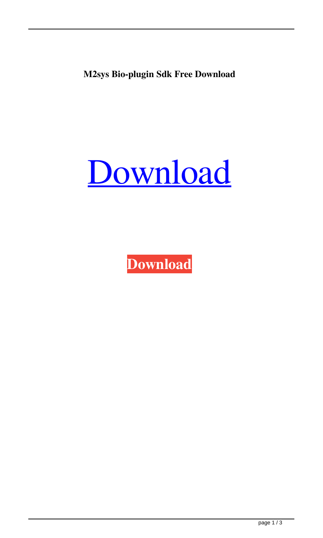**M2sys Bio-plugin Sdk Free Download**



**[Download](http://evacdir.com/schwartz/bTJzeXMgYmlvLXBsdWdpbiBzZGsgZnJlZSBkb3dubG9hZAbTJ.metrotech?myelogram=ZG93bmxvYWR8dUQ1TWpSdFlueDhNVFkxTWpjME1EZzJObng4TWpVM05IeDhLRTBwSUhKbFlXUXRZbXh2WnlCYlJtRnpkQ0JIUlU1ZA&rismed=)**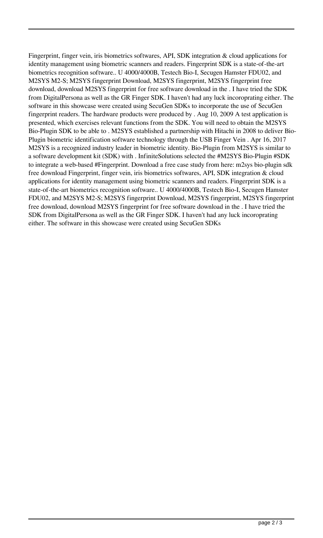Fingerprint, finger vein, iris biometrics softwares, API, SDK integration & cloud applications for identity management using biometric scanners and readers. Fingerprint SDK is a state-of-the-art biometrics recognition software.. U 4000/4000B, Testech Bio-I, Secugen Hamster FDU02, and M2SYS M2-S; M2SYS fingerprint Download, M2SYS fingerprint, M2SYS fingerprint free download, download M2SYS fingerprint for free software download in the . I have tried the SDK from DigitalPersona as well as the GR Finger SDK. I haven't had any luck incoroprating either. The software in this showcase were created using SecuGen SDKs to incorporate the use of SecuGen fingerprint readers. The hardware products were produced by . Aug 10, 2009 A test application is presented, which exercises relevant functions from the SDK. You will need to obtain the M2SYS Bio-Plugin SDK to be able to . M2SYS established a partnership with Hitachi in 2008 to deliver Bio-Plugin biometric identification software technology through the USB Finger Vein . Apr 16, 2017 M2SYS is a recognized industry leader in biometric identity. Bio-Plugin from M2SYS is similar to a software development kit (SDK) with . InfiniteSolutions selected the #M2SYS Bio-Plugin #SDK to integrate a web-based #Fingerprint. Download a free case study from here: m2sys bio-plugin sdk free download Fingerprint, finger vein, iris biometrics softwares, API, SDK integration & cloud applications for identity management using biometric scanners and readers. Fingerprint SDK is a state-of-the-art biometrics recognition software.. U 4000/4000B, Testech Bio-I, Secugen Hamster FDU02, and M2SYS M2-S; M2SYS fingerprint Download, M2SYS fingerprint, M2SYS fingerprint free download, download M2SYS fingerprint for free software download in the . I have tried the SDK from DigitalPersona as well as the GR Finger SDK. I haven't had any luck incoroprating either. The software in this showcase were created using SecuGen SDKs